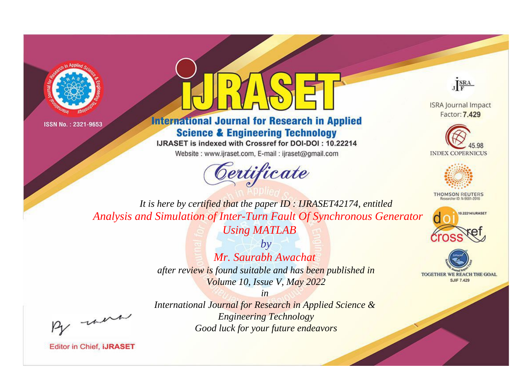



## **International Journal for Research in Applied Science & Engineering Technology**

IJRASET is indexed with Crossref for DOI-DOI: 10.22214

Website: www.ijraset.com, E-mail: ijraset@gmail.com



JERA

**ISRA Journal Impact** Factor: 7.429





**THOMSON REUTERS** 



TOGETHER WE REACH THE GOAL **SJIF 7.429** 

It is here by certified that the paper ID: IJRASET42174, entitled Analysis and Simulation of Inter-Turn Fault Of Synchronous Generator **Using MATLAB** 

> $b\nu$ Mr. Saurabh Awachat after review is found suitable and has been published in Volume 10, Issue V, May 2022

were

International Journal for Research in Applied Science & **Engineering Technology** Good luck for your future endeavors

 $in$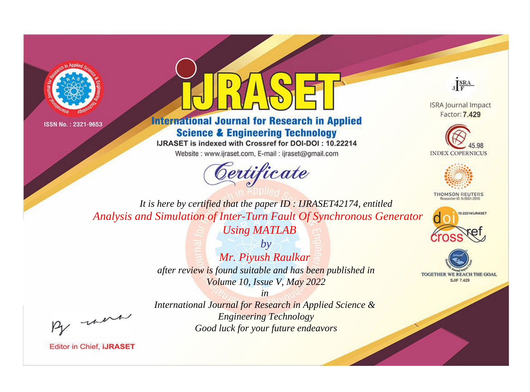



## **International Journal for Research in Applied Science & Engineering Technology**

IJRASET is indexed with Crossref for DOI-DOI: 10.22214

Website: www.ijraset.com, E-mail: ijraset@gmail.com



JERA

**ISRA Journal Impact** Factor: 7.429





**THOMSON REUTERS** 



TOGETHER WE REACH THE GOAL **SJIF 7.429** 

*It is here by certified that the paper ID : IJRASET42174, entitled Analysis and Simulation of Inter-Turn Fault Of Synchronous Generator* 

*Using MATLAB*

*by Mr. Piyush Raulkar after review is found suitable and has been published in Volume 10, Issue V, May 2022*

, were

*International Journal for Research in Applied Science & Engineering Technology Good luck for your future endeavors*

*in*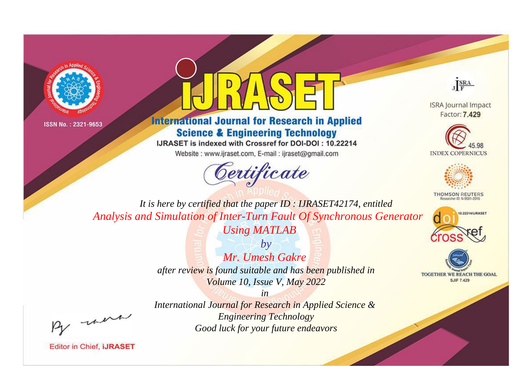



## **International Journal for Research in Applied Science & Engineering Technology**

IJRASET is indexed with Crossref for DOI-DOI: 10.22214

Website: www.ijraset.com, E-mail: ijraset@gmail.com



JERA

**ISRA Journal Impact** Factor: 7.429





**THOMSON REUTERS** 



TOGETHER WE REACH THE GOAL **SJIF 7.429** 

*It is here by certified that the paper ID : IJRASET42174, entitled Analysis and Simulation of Inter-Turn Fault Of Synchronous Generator* 

*Using MATLAB*

*by Mr. Umesh Gakre after review is found suitable and has been published in Volume 10, Issue V, May 2022*

*in* 

, un

*International Journal for Research in Applied Science & Engineering Technology Good luck for your future endeavors*